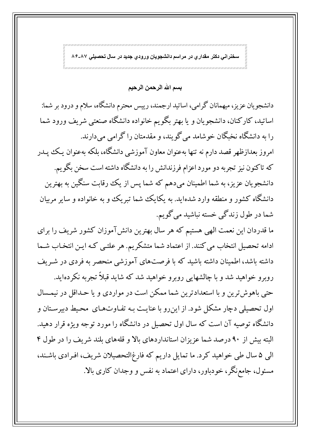سخنرانی دکتر مقداری در مراسم دانشجویان ورودی جدید در سال تحصیلی ۸۶-۸۶

بسم الله الرحمن الرحيم

دانشجویان عزیز، میهمانان گرامی، اساتید ارجمند، رییس محترم دانشگاه، سلام و درود بر شما: اساتید، کارکنان، دانشجویان و یا بهتر بگویم خانواده دانشگاه صنعتبی شریف ورود شما را به دانشگاه نخبگان خوشامد می گویند، و مقدمتان را گرامی میدارند. امروز بعدازظهر قصد دارم نه تنها بهعنوان معاون آموزشي دانشگاه، بلکه بهعنوان يـک يـدر که تاکنون نیز تجربه دو مورد اعزام فرزندانش را به دانشگاه داشته است سخن بگو یم. دانشجویان عزیز، به شما اطمینان میدهم که شما پس از یک رقابت سنگین به بهترین دانشگاه کشور و منطقه وارد شدهاید. به یکایک شما تبریک و به خانواده و سایر مربیان شما در طول زندگی خسته نباشید میگویم.

ما قدردان این نعمت الهی هستیم که هر سال بهترین دانش آموزان کشور شریف را برای ادامه تحصیل انتخاب می کنند. از اعتماد شما متشکریم. هر علتـی کـه ایـن انتخـاب شـما داشته باشد، اطمینان داشته باشید که با فرصتهای آموزشی منحصر به فردی در شـریف

روبرو خواهید شد و با چالشهایی روبرو خواهید شد که شاید قبلاً تجربه نکردهاید. حتی باهوش ترین و با استعدادترین شما ممکن است در مواردی و یا حـداقل در نیمـسال اول تحصیلی دچار مشکل شود. از اینِ رو با عنایت بـه تفـاوتهـای محـیط دبیرسـتان و دانشگاه توصیه آن است که سال اول تحصیل در دانشگاه را مورد توجه ویژه قرار دهید. البته بیش از ۹۰ درصد شما عزیزان استانداردهای بالا و قلههای بلند شریف را در طول ۴ الی ۵ سال طی خواهید کرد. ما تمایل داریم که فارغ|لتحصیلان شریف، افرادی باشند، مسئول، جامع نگر، خودباور، دارای اعتماد به نفس و وجدان کاری بالا.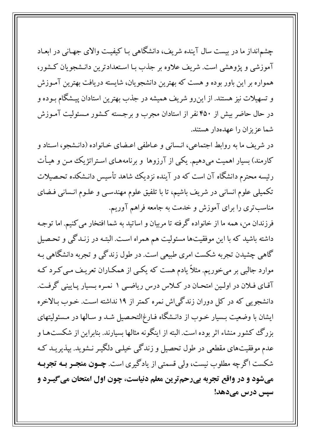چشم|نداز ما در بیست سال آینده شریف، دانشگاهی بـا کیفیـت والای جهـانی در ابعـاد آموزشی و پژوهشی است. شریف علاوه بر جذب بـا اسـتعدادترین دانـشجویان كـشور، همواره بر این باور بوده و هست که بهترین دانشجویان، شایسته دریافت بهترین آمـوزش و تسهیلات نیز هستند. از این٫و شریف همیشه در جذب بهترین استادان پیـشگام بـوده و در حال حاضر بیش از ۴۵۰ نفر از استادان مجرب و برجسته کشور مسئولیت آمـوزش شما عزیزان را عهدهدار هستند.

در شريف ما به روابط اجتماعي، انـساني و عـاطفي اعـضاي خـانواده (دانـشجو، اسـتاد و کارمند) بسیار اهمیت میدهیم. یکی از آرزوها و برنامههـای اسـتراتژیک مـن و هیـأت رئیسه محترم دانشگاه آن است که در آینده نزدیک شاهد تأسیس دانـشکده تحـصیلات تکمیلی علوم انسانی در شریف باشیم، تا با تلفیق علوم مهندسـی و علـوم انـسانی فـضای مناسبتری را برای آموزش و خدمت به جامعه فراهم آوریم.

فرزندان من، همه ما از خانواده گرفته تا مربیان و اساتید به شما افتخار می کنیم. اما توجـه داشته باشید که با این موفقیتها مسئولیت هم همراه است. البتـه در زنـدگی و تحـصیل گاهی چشیدن تجربه شکست امری طبیعی است. در طول زندگی و تجربه دانشگاهی بـه موارد جالبی بر میخوریم. مثلاً یادم هست که یکسی از همکـاران تعریـف مـی کـرد کـه آقـاي فـلان در اولـين امتحـان در كـلاس درس رياضـي ١ نمـره بـسيار پـاييني گرفـت. دانشجویی که در کل دوران زندگیاش نمره کمتر از ۱۹ نداشته است. خـوب بـالاخره ایشان با وضعیت بـسیار خـوب از دانـشگاه فـارغ|لتحـصیل شـد و سـالها در مـسئولیتهای بزرگ کشور منشاء اثر بوده است. البته از اینگونه مثالها بسیارند. بنابراین از شکستهـا و عدم موفقیتهای مقطعی در طول تحصیل و زندگی خیلـی دلگیـر نـشوید. بپذیریـد کـه شکست اگرچه مطلوب نیست، ولی قسمتی از یادگیری است. **چــون منجــر بــه تجربــه** میشود و در واقع تجربه بیرحم ترین معلم دنیاست، چون اول امتحان می گیـرد و سپس درس میدهد!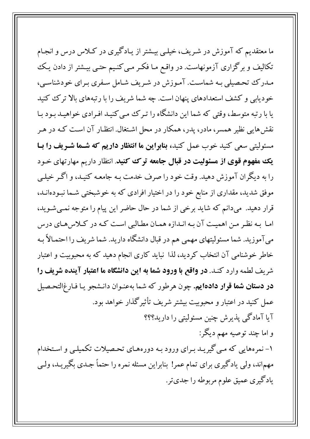ما معتقدیم که آموزش در شـریف، خیلـی بیـشتر از یـادگیری در کـلاس درس و انجـام تکالیف و برگزاری آزمونهاست. در واقع مـا فکـر مـی کنـیم حتـی بیـشتر از دادن یـک مـدرک تحـصیلی بـه شماسـت. آمـوزش در شـریف شـامل سـفری بـرای خودشناسـی، خودیابی و کشف استعدادهای پنهان است. چه شما شریف را با رتبههای بالا ترک کنید یا با رتبه متوسط، وقتی که شما این دانشگاه را تـرک مـی کنیـد افـرادی خواهیـد بـود بـا نقشهایی نظیر همسر، مادر، پدر، همکار در محل اشتغال. انتظـار آن اسـت کـه در هـر مسئولیتی سعی کنید خوب عمل کنید، بنابراین ما انتظار داریم که شـما شـریف را بـا یک مفهوم قوی از مسئولیت در قبال جامعه ترک کنید. انتظار داریم مهارتهای خـود را به دیگران آموزش دهید. وقت خود را صرف خدمت بـه جامعـه کنیـد، و اگـر خیلـی موفق شدید، مقداری از منابع خود را در اختیار افرادی که به خوشبختی شـما نبـودهانــد، قرار دهید. میدانم که شاید برخی از شما در حال حاضر این پیام را متوجه نمی شـوید، اما به نظر من اهمیت آن به اندازه همان مطالبی است که در کلاس های درس میآموزید. شما مسئولیتهای مهمی هم در قبال دانشگاه دارید. شما شریف را احتمـالاً بـه خاطر خوشنامی آن انتخاب کردید، لذا نباید کاری انجام دهید که به محبوبیت و اعتبار شریف لطمه وارد کنـد. **در واقع با ورود شما به این دانشگاه ما اعتبار آینده شریف را** در دستان شما قرار دادهایم. چون هرطور که شما بهعنـوان دانـشجو يـا فـارغ التحـصيل عمل کنید در اعتبار و محبوبیت بیشتر شریف تأثیرگذار خواهد بود. آیا آمادگی پذیرش چنین مسئولیتی را دارید؟؟؟ و اما چند توصیه مهم دیگر: ۱- نمرههایی که می گیریـد بـرای ورود بـه دورههـای تحـصیلات تکمیلـی و اسـتخدام مهماند، ولی یادگیری برای تمام عمر! بنابراین مسئله نمره را حتماً جـدی بگیریـد، ولـی یادگیری عمیق علوم مربوطه را جدیتر.